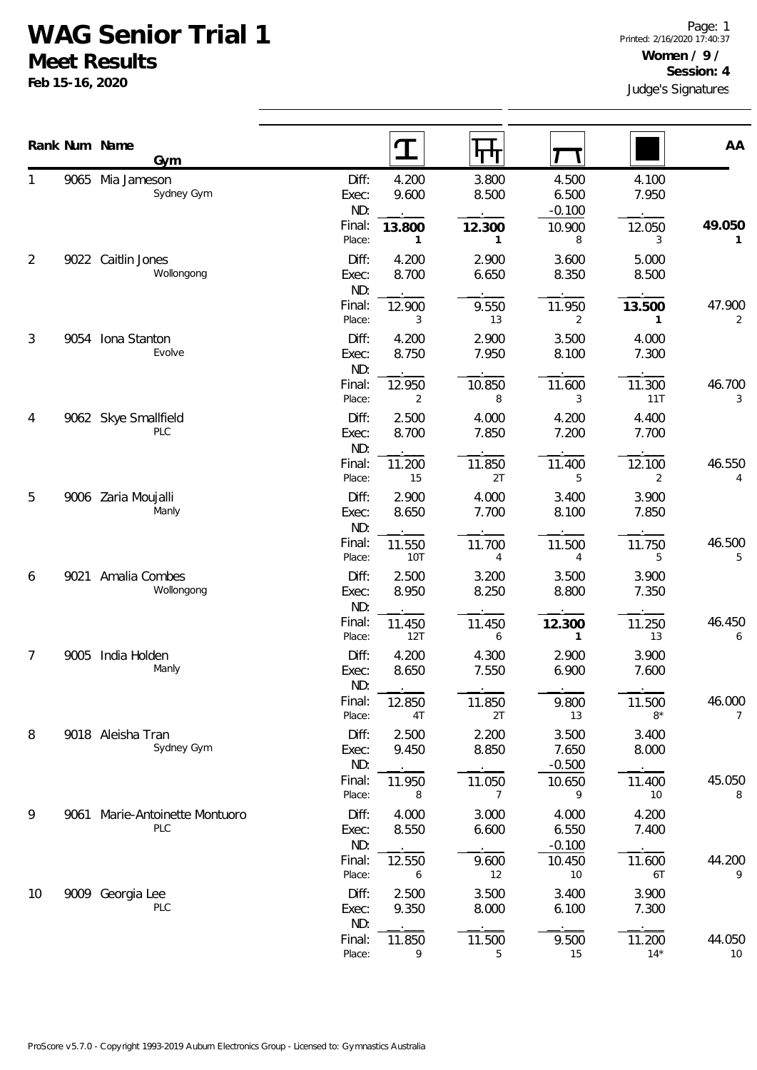## **WAG Senior Trial 1**

**Meet Results**

**Feb 15-16, 2020**

|    |      | Rank Num Name<br>Gym                  |                                 | $\mathbf T$              | पाग                      |                            |                        | AA           |
|----|------|---------------------------------------|---------------------------------|--------------------------|--------------------------|----------------------------|------------------------|--------------|
|    |      | 9065 Mia Jameson<br>Sydney Gym        | Diff:<br>Exec:<br>ND:           | 4.200<br>9.600           | 3.800<br>8.500           | 4.500<br>6.500<br>$-0.100$ | 4.100<br>7.950         |              |
|    |      |                                       | Final:<br>Place:                | 13.800<br>1              | 12.300<br>1              | 10.900<br>8                | 12.050<br>3            | 49.050<br>1  |
| 2  |      | 9022 Caitlin Jones<br>Wollongong      | Diff:<br>Exec:<br>ND:           | 4.200<br>8.700           | 2.900<br>6.650           | 3.600<br>8.350             | 5.000<br>8.500         |              |
|    |      |                                       | Final:<br>Place:                | 12.900<br>3              | 9.550<br>13              | 11.950<br>$\overline{2}$   | 13.500<br>$\mathbf{1}$ | 47.900<br>2  |
| 3  |      | 9054 Iona Stanton<br>Evolve           | Diff:<br>Exec:<br>ND:           | 4.200<br>8.750           | 2.900<br>7.950           | 3.500<br>8.100             | 4.000<br>7.300         |              |
|    |      |                                       | Final:<br>Place:                | 12.950<br>$\overline{2}$ | 10.850<br>8              | 11.600<br>3                | 11.300<br>11T          | 46.700<br>3  |
| 4  |      | 9062 Skye Smallfield<br>PLC           | Diff:<br>Exec:<br>ND:           | 2.500<br>8.700           | 4.000<br>7.850           | 4.200<br>7.200             | 4.400<br>7.700         |              |
|    |      |                                       | Final:<br>Place:                | 11.200<br>15             | 11.850<br>2T             | 11.400<br>5                | 12.100<br>2            | 46.550<br>4  |
| 5  |      | 9006 Zaria Moujalli<br>Manly          | Diff:<br>Exec:<br>ND:           | 2.900<br>8.650           | 4.000<br>7.700           | 3.400<br>8.100             | 3.900<br>7.850         |              |
|    |      |                                       | Final:<br>Place:                | 11.550<br>10T            | 11.700<br>4              | 11.500<br>4                | 11.750<br>5            | 46.500<br>5  |
| 6  |      | 9021 Amalia Combes<br>Wollongong      | Diff:<br>Exec:<br>ND:           | 2.500<br>8.950           | 3.200<br>8.250           | 3.500<br>8.800             | 3.900<br>7.350         |              |
|    |      |                                       | Final:<br>Place:                | 11.450<br>12T            | 11.450<br>6              | 12.300<br>$\mathbf{1}$     | 11.250<br>13           | 46.450<br>6  |
| 7  | 9005 | India Holden<br>Manly                 | Diff:<br>Exec:<br>ND:           | 4.200<br>8.650           | 4.300<br>7.550           | 2.900<br>6.900             | 3.900<br>7.600         |              |
|    |      |                                       | Final:<br>Place:                | 12.850<br>4T             | 11.850<br>2T             | 9.800<br>13                | 11.500<br>$8*$         | 46.000<br>7  |
| 8  |      | 9018 Aleisha Tran<br>Sydney Gym       | Diff:<br>Exec:<br>ND:           | 2.500<br>9.450           | 2.200<br>8.850           | 3.500<br>7.650<br>$-0.500$ | 3.400<br>8.000         |              |
|    |      |                                       | Final:<br>Place:                | 11.950<br>8              | 11.050<br>$\overline{7}$ | 10.650<br>9                | 11.400<br>10           | 45.050<br>8  |
| 9  |      | 9061 Marie-Antoinette Montuoro<br>PLC | Diff:<br>Exec:<br>ND:<br>Final: | 4.000<br>8.550           | 3.000<br>6.600           | 4.000<br>6.550<br>$-0.100$ | 4.200<br>7.400         | 44.200       |
|    |      |                                       | Place:                          | 12.550<br>6              | 9.600<br>12              | 10.450<br>10               | 11.600<br>6T           | 9            |
| 10 |      | 9009 Georgia Lee<br>PLC               | Diff:<br>Exec:<br>ND:           | 2.500<br>9.350           | 3.500<br>8.000           | 3.400<br>6.100             | 3.900<br>7.300         |              |
|    |      |                                       | Final:<br>Place:                | 11.850<br>9              | 11.500<br>5              | 9.500<br>15                | 11.200<br>$14*$        | 44.050<br>10 |